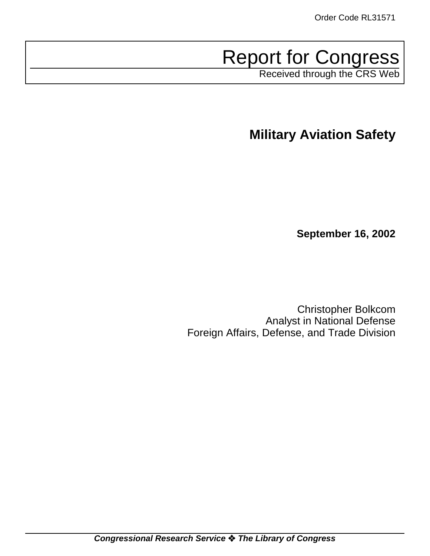# Report for Congress

Received through the CRS Web

**Military Aviation Safety**

**September 16, 2002**

Christopher Bolkcom Analyst in National Defense Foreign Affairs, Defense, and Trade Division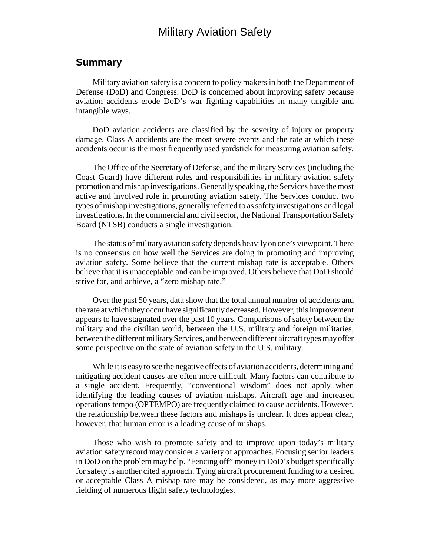### Military Aviation Safety

### **Summary**

Military aviation safety is a concern to policy makers in both the Department of Defense (DoD) and Congress. DoD is concerned about improving safety because aviation accidents erode DoD's war fighting capabilities in many tangible and intangible ways.

DoD aviation accidents are classified by the severity of injury or property damage. Class A accidents are the most severe events and the rate at which these accidents occur is the most frequently used yardstick for measuring aviation safety.

The Office of the Secretary of Defense, and the military Services (including the Coast Guard) have different roles and responsibilities in military aviation safety promotion and mishap investigations. Generally speaking, the Services have the most active and involved role in promoting aviation safety. The Services conduct two types of mishap investigations, generally referred to as safety investigations and legal investigations. In the commercial and civil sector, the National Transportation Safety Board (NTSB) conducts a single investigation.

The status of military aviation safety depends heavily on one's viewpoint. There is no consensus on how well the Services are doing in promoting and improving aviation safety. Some believe that the current mishap rate is acceptable. Others believe that it is unacceptable and can be improved. Others believe that DoD should strive for, and achieve, a "zero mishap rate."

Over the past 50 years, data show that the total annual number of accidents and the rate at which they occur have significantly decreased. However, this improvement appears to have stagnated over the past 10 years. Comparisons of safety between the military and the civilian world, between the U.S. military and foreign militaries, between the different military Services, and between different aircraft types may offer some perspective on the state of aviation safety in the U.S. military.

While it is easy to see the negative effects of aviation accidents, determining and mitigating accident causes are often more difficult. Many factors can contribute to a single accident. Frequently, "conventional wisdom" does not apply when identifying the leading causes of aviation mishaps. Aircraft age and increased operations tempo (OPTEMPO) are frequently claimed to cause accidents. However, the relationship between these factors and mishaps is unclear. It does appear clear, however, that human error is a leading cause of mishaps.

Those who wish to promote safety and to improve upon today's military aviation safety record may consider a variety of approaches. Focusing senior leaders in DoD on the problem may help. "Fencing off" money in DoD's budget specifically for safety is another cited approach. Tying aircraft procurement funding to a desired or acceptable Class A mishap rate may be considered, as may more aggressive fielding of numerous flight safety technologies.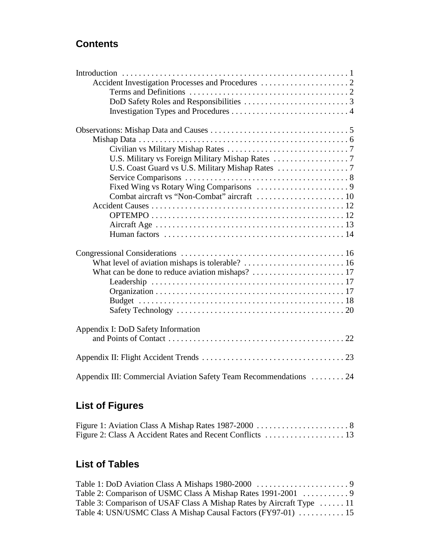### **Contents**

| Appendix I: DoD Safety Information                                |
|-------------------------------------------------------------------|
|                                                                   |
|                                                                   |
|                                                                   |
| Appendix III: Commercial Aviation Safety Team Recommendations  24 |

# **List of Figures**

### **List of Tables**

| Table 3: Comparison of USAF Class A Mishap Rates by Aircraft Type  11 |  |
|-----------------------------------------------------------------------|--|
| Table 4: USN/USMC Class A Mishap Causal Factors (FY97-01)  15         |  |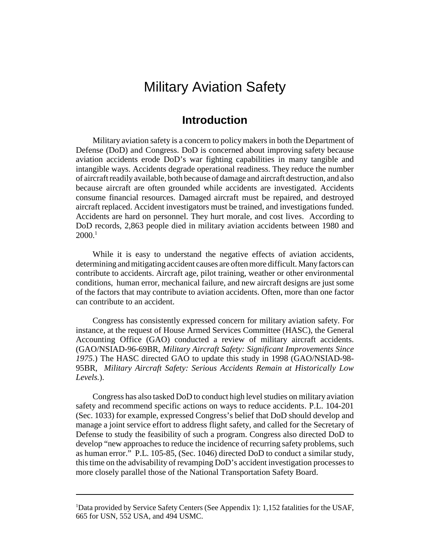# Military Aviation Safety

### **Introduction**

Military aviation safety is a concern to policy makers in both the Department of Defense (DoD) and Congress. DoD is concerned about improving safety because aviation accidents erode DoD's war fighting capabilities in many tangible and intangible ways. Accidents degrade operational readiness. They reduce the number of aircraft readily available, both because of damage and aircraft destruction, and also because aircraft are often grounded while accidents are investigated. Accidents consume financial resources. Damaged aircraft must be repaired, and destroyed aircraft replaced. Accident investigators must be trained, and investigations funded. Accidents are hard on personnel. They hurt morale, and cost lives. According to DoD records, 2,863 people died in military aviation accidents between 1980 and  $2000.<sup>1</sup>$ 

While it is easy to understand the negative effects of aviation accidents, determining and mitigating accident causes are often more difficult. Many factors can contribute to accidents. Aircraft age, pilot training, weather or other environmental conditions, human error, mechanical failure, and new aircraft designs are just some of the factors that may contribute to aviation accidents. Often, more than one factor can contribute to an accident.

Congress has consistently expressed concern for military aviation safety. For instance, at the request of House Armed Services Committee (HASC), the General Accounting Office (GAO) conducted a review of military aircraft accidents. (GAO/NSIAD-96-69BR, *Military Aircraft Safety: Significant Improvements Since 1975*.) The HASC directed GAO to update this study in 1998 (GAO/NSIAD-98- 95BR, *Military Aircraft Safety: Serious Accidents Remain at Historically Low Levels.*).

Congress has also tasked DoD to conduct high level studies on military aviation safety and recommend specific actions on ways to reduce accidents. P.L. 104-201 (Sec. 1033) for example, expressed Congress's belief that DoD should develop and manage a joint service effort to address flight safety, and called for the Secretary of Defense to study the feasibility of such a program. Congress also directed DoD to develop "new approaches to reduce the incidence of recurring safety problems, such as human error." P.L. 105-85, (Sec. 1046) directed DoD to conduct a similar study, this time on the advisability of revamping DoD's accident investigation processes to more closely parallel those of the National Transportation Safety Board.

<sup>&</sup>lt;sup>1</sup>Data provided by Service Safety Centers (See Appendix 1): 1,152 fatalities for the USAF, 665 for USN, 552 USA, and 494 USMC.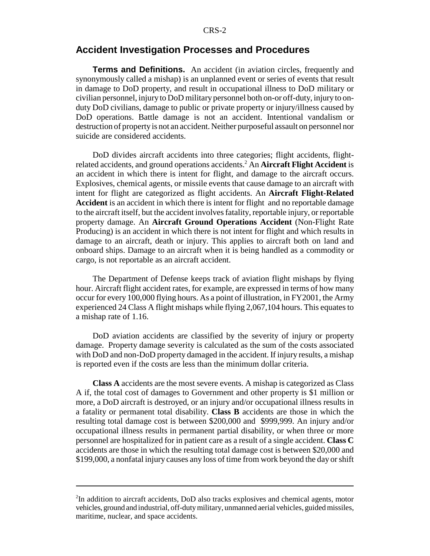#### **Accident Investigation Processes and Procedures**

**Terms and Definitions.** An accident (in aviation circles, frequently and synonymously called a mishap) is an unplanned event or series of events that result in damage to DoD property, and result in occupational illness to DoD military or civilian personnel, injury to DoD military personnel both on-or off-duty, injury to onduty DoD civilians, damage to public or private property or injury/illness caused by DoD operations. Battle damage is not an accident. Intentional vandalism or destruction of property is not an accident. Neither purposeful assault on personnel nor suicide are considered accidents.

DoD divides aircraft accidents into three categories; flight accidents, flightrelated accidents, and ground operations accidents.2 An **Aircraft Flight Accident** is an accident in which there is intent for flight, and damage to the aircraft occurs. Explosives, chemical agents, or missile events that cause damage to an aircraft with intent for flight are categorized as flight accidents. An **Aircraft Flight-Related Accident** is an accident in which there is intent for flight and no reportable damage to the aircraft itself, but the accident involves fatality, reportable injury, or reportable property damage. An **Aircraft Ground Operations Accident** (Non-Flight Rate Producing) is an accident in which there is not intent for flight and which results in damage to an aircraft, death or injury. This applies to aircraft both on land and onboard ships. Damage to an aircraft when it is being handled as a commodity or cargo, is not reportable as an aircraft accident.

The Department of Defense keeps track of aviation flight mishaps by flying hour. Aircraft flight accident rates, for example, are expressed in terms of how many occur for every 100,000 flying hours. As a point of illustration, in FY2001, the Army experienced 24 Class A flight mishaps while flying 2,067,104 hours. This equates to a mishap rate of 1.16.

DoD aviation accidents are classified by the severity of injury or property damage. Property damage severity is calculated as the sum of the costs associated with DoD and non-DoD property damaged in the accident. If injury results, a mishap is reported even if the costs are less than the minimum dollar criteria.

**Class A** accidents are the most severe events. A mishap is categorized as Class A if, the total cost of damages to Government and other property is \$1 million or more, a DoD aircraft is destroyed, or an injury and/or occupational illness results in a fatality or permanent total disability. **Class B** accidents are those in which the resulting total damage cost is between \$200,000 and \$999,999. An injury and/or occupational illness results in permanent partial disability, or when three or more personnel are hospitalized for in patient care as a result of a single accident. **Class C** accidents are those in which the resulting total damage cost is between \$20,000 and \$199,000, a nonfatal injury causes any loss of time from work beyond the day or shift

<sup>2</sup> In addition to aircraft accidents, DoD also tracks explosives and chemical agents, motor vehicles, ground and industrial, off-duty military, unmanned aerial vehicles, guided missiles, maritime, nuclear, and space accidents.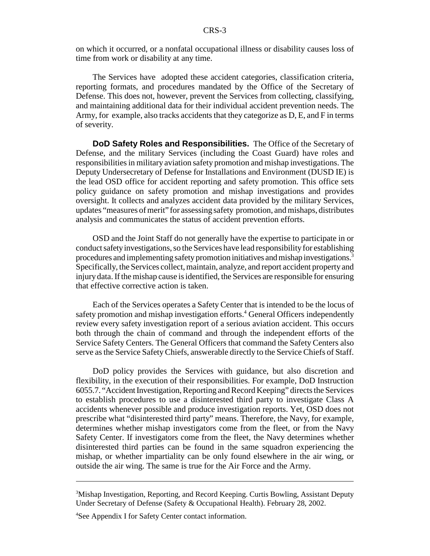on which it occurred, or a nonfatal occupational illness or disability causes loss of time from work or disability at any time.

The Services have adopted these accident categories, classification criteria, reporting formats, and procedures mandated by the Office of the Secretary of Defense. This does not, however, prevent the Services from collecting, classifying, and maintaining additional data for their individual accident prevention needs. The Army, for example, also tracks accidents that they categorize as D, E, and F in terms of severity.

**DoD Safety Roles and Responsibilities.** The Office of the Secretary of Defense, and the military Services (including the Coast Guard) have roles and responsibilities in military aviation safety promotion and mishap investigations. The Deputy Undersecretary of Defense for Installations and Environment (DUSD IE) is the lead OSD office for accident reporting and safety promotion. This office sets policy guidance on safety promotion and mishap investigations and provides oversight. It collects and analyzes accident data provided by the military Services, updates "measures of merit" for assessing safety promotion, and mishaps, distributes analysis and communicates the status of accident prevention efforts.

OSD and the Joint Staff do not generally have the expertise to participate in or conduct safety investigations, so the Services have lead responsibility for establishing procedures and implementing safety promotion initiatives and mishap investigations.3 Specifically, the Services collect, maintain, analyze, and report accident property and injury data. If the mishap cause is identified, the Services are responsible for ensuring that effective corrective action is taken.

Each of the Services operates a Safety Center that is intended to be the locus of safety promotion and mishap investigation efforts.<sup>4</sup> General Officers independently review every safety investigation report of a serious aviation accident. This occurs both through the chain of command and through the independent efforts of the Service Safety Centers. The General Officers that command the Safety Centers also serve as the Service Safety Chiefs, answerable directly to the Service Chiefs of Staff.

DoD policy provides the Services with guidance, but also discretion and flexibility, in the execution of their responsibilities. For example, DoD Instruction 6055.7. "Accident Investigation, Reporting and Record Keeping" directs the Services to establish procedures to use a disinterested third party to investigate Class A accidents whenever possible and produce investigation reports. Yet, OSD does not prescribe what "disinterested third party" means. Therefore, the Navy, for example, determines whether mishap investigators come from the fleet, or from the Navy Safety Center. If investigators come from the fleet, the Navy determines whether disinterested third parties can be found in the same squadron experiencing the mishap, or whether impartiality can be only found elsewhere in the air wing, or outside the air wing. The same is true for the Air Force and the Army.

<sup>&</sup>lt;sup>3</sup>Mishap Investigation, Reporting, and Record Keeping. Curtis Bowling, Assistant Deputy Under Secretary of Defense (Safety & Occupational Health). February 28, 2002.

<sup>4</sup> See Appendix I for Safety Center contact information.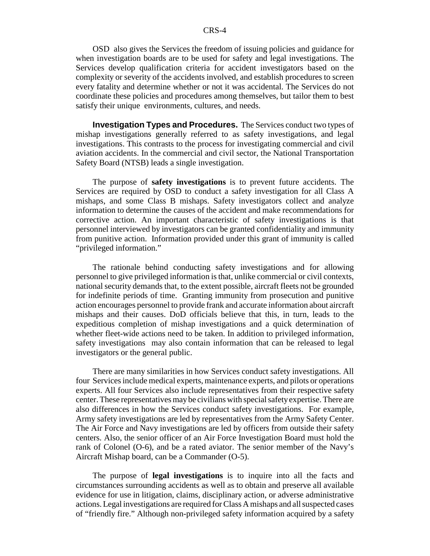OSD also gives the Services the freedom of issuing policies and guidance for when investigation boards are to be used for safety and legal investigations. The Services develop qualification criteria for accident investigators based on the complexity or severity of the accidents involved, and establish procedures to screen every fatality and determine whether or not it was accidental. The Services do not coordinate these policies and procedures among themselves, but tailor them to best satisfy their unique environments, cultures, and needs.

**Investigation Types and Procedures.** The Services conduct two types of mishap investigations generally referred to as safety investigations, and legal investigations. This contrasts to the process for investigating commercial and civil aviation accidents. In the commercial and civil sector, the National Transportation Safety Board (NTSB) leads a single investigation.

The purpose of **safety investigations** is to prevent future accidents. The Services are required by OSD to conduct a safety investigation for all Class A mishaps, and some Class B mishaps. Safety investigators collect and analyze information to determine the causes of the accident and make recommendations for corrective action. An important characteristic of safety investigations is that personnel interviewed by investigators can be granted confidentiality and immunity from punitive action. Information provided under this grant of immunity is called "privileged information."

The rationale behind conducting safety investigations and for allowing personnel to give privileged information is that, unlike commercial or civil contexts, national security demands that, to the extent possible, aircraft fleets not be grounded for indefinite periods of time. Granting immunity from prosecution and punitive action encourages personnel to provide frank and accurate information about aircraft mishaps and their causes. DoD officials believe that this, in turn, leads to the expeditious completion of mishap investigations and a quick determination of whether fleet-wide actions need to be taken. In addition to privileged information, safety investigations may also contain information that can be released to legal investigators or the general public.

There are many similarities in how Services conduct safety investigations. All four Services include medical experts, maintenance experts, and pilots or operations experts. All four Services also include representatives from their respective safety center. These representatives may be civilians with special safety expertise. There are also differences in how the Services conduct safety investigations. For example, Army safety investigations are led by representatives from the Army Safety Center. The Air Force and Navy investigations are led by officers from outside their safety centers. Also, the senior officer of an Air Force Investigation Board must hold the rank of Colonel (O-6), and be a rated aviator. The senior member of the Navy's Aircraft Mishap board, can be a Commander (O-5).

The purpose of **legal investigations** is to inquire into all the facts and circumstances surrounding accidents as well as to obtain and preserve all available evidence for use in litigation, claims, disciplinary action, or adverse administrative actions. Legal investigations are required for Class A mishaps and all suspected cases of "friendly fire." Although non-privileged safety information acquired by a safety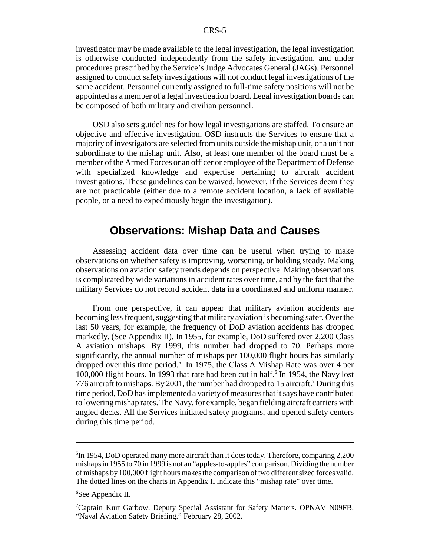investigator may be made available to the legal investigation, the legal investigation is otherwise conducted independently from the safety investigation, and under procedures prescribed by the Service's Judge Advocates General (JAGs). Personnel assigned to conduct safety investigations will not conduct legal investigations of the same accident. Personnel currently assigned to full-time safety positions will not be appointed as a member of a legal investigation board. Legal investigation boards can be composed of both military and civilian personnel.

OSD also sets guidelines for how legal investigations are staffed. To ensure an objective and effective investigation, OSD instructs the Services to ensure that a majority of investigators are selected from units outside the mishap unit, or a unit not subordinate to the mishap unit. Also, at least one member of the board must be a member of the Armed Forces or an officer or employee of the Department of Defense with specialized knowledge and expertise pertaining to aircraft accident investigations. These guidelines can be waived, however, if the Services deem they are not practicable (either due to a remote accident location, a lack of available people, or a need to expeditiously begin the investigation).

### **Observations: Mishap Data and Causes**

Assessing accident data over time can be useful when trying to make observations on whether safety is improving, worsening, or holding steady. Making observations on aviation safety trends depends on perspective. Making observations is complicated by wide variations in accident rates over time, and by the fact that the military Services do not record accident data in a coordinated and uniform manner.

From one perspective, it can appear that military aviation accidents are becoming less frequent, suggesting that military aviation is becoming safer. Over the last 50 years, for example, the frequency of DoD aviation accidents has dropped markedly. (See Appendix II). In 1955, for example, DoD suffered over 2,200 Class A aviation mishaps. By 1999, this number had dropped to 70. Perhaps more significantly, the annual number of mishaps per 100,000 flight hours has similarly dropped over this time period.<sup>5</sup> In 1975, the Class A Mishap Rate was over 4 per 100,000 flight hours. In 1993 that rate had been cut in half.<sup>6</sup> In 1954, the Navy lost 776 aircraft to mishaps. By 2001, the number had dropped to 15 aircraft.<sup>7</sup> During this time period, DoD has implemented a variety of measures that it says have contributed to lowering mishap rates. The Navy, for example, began fielding aircraft carriers with angled decks. All the Services initiated safety programs, and opened safety centers during this time period.

<sup>&</sup>lt;sup>5</sup>In 1954, DoD operated many more aircraft than it does today. Therefore, comparing 2,200 mishaps in 1955 to 70 in 1999 is not an "apples-to-apples" comparison. Dividing the number of mishaps by 100,000 flight hours makes the comparison of two different sized forces valid. The dotted lines on the charts in Appendix II indicate this "mishap rate" over time.

<sup>6</sup> See Appendix II.

<sup>&</sup>lt;sup>7</sup>Captain Kurt Garbow. Deputy Special Assistant for Safety Matters. OPNAV N09FB. "Naval Aviation Safety Briefing." February 28, 2002.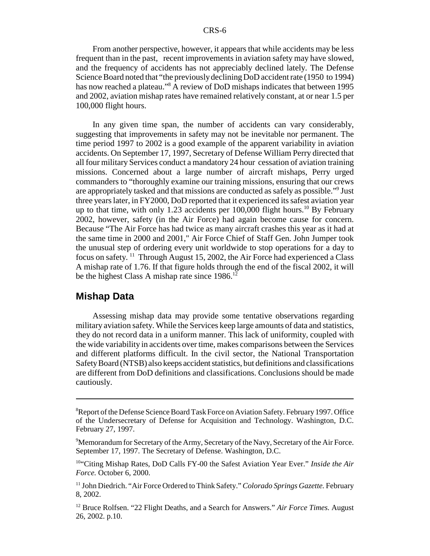From another perspective, however, it appears that while accidents may be less frequent than in the past, recent improvements in aviation safety may have slowed, and the frequency of accidents has not appreciably declined lately. The Defense Science Board noted that "the previously declining DoD accident rate (1950 to 1994) has now reached a plateau."<sup>8</sup> A review of DoD mishaps indicates that between 1995 and 2002, aviation mishap rates have remained relatively constant, at or near 1.5 per 100,000 flight hours.

In any given time span, the number of accidents can vary considerably, suggesting that improvements in safety may not be inevitable nor permanent. The time period 1997 to 2002 is a good example of the apparent variability in aviation accidents. On September 17, 1997, Secretary of Defense William Perry directed that all four military Services conduct a mandatory 24 hour cessation of aviation training missions. Concerned about a large number of aircraft mishaps, Perry urged commanders to "thoroughly examine our training missions, ensuring that our crews are appropriately tasked and that missions are conducted as safely as possible."<sup>9</sup> Just three years later, in FY2000, DoD reported that it experienced its safest aviation year up to that time, with only 1.23 accidents per  $100,000$  flight hours.<sup>10</sup> By February 2002, however, safety (in the Air Force) had again become cause for concern. Because "The Air Force has had twice as many aircraft crashes this year as it had at the same time in 2000 and 2001," Air Force Chief of Staff Gen. John Jumper took the unusual step of ordering every unit worldwide to stop operations for a day to focus on safety. <sup>11</sup> Through August 15, 2002, the Air Force had experienced a Class A mishap rate of 1.76. If that figure holds through the end of the fiscal 2002, it will be the highest Class A mishap rate since  $1986$ <sup>12</sup>

### **Mishap Data**

Assessing mishap data may provide some tentative observations regarding military aviation safety. While the Services keep large amounts of data and statistics, they do not record data in a uniform manner. This lack of uniformity, coupled with the wide variability in accidents over time, makes comparisons between the Services and different platforms difficult. In the civil sector, the National Transportation Safety Board (NTSB) also keeps accident statistics, but definitions and classifications are different from DoD definitions and classifications. Conclusions should be made cautiously.

<sup>&</sup>lt;sup>8</sup>Report of the Defense Science Board Task Force on Aviation Safety. February 1997. Office of the Undersecretary of Defense for Acquisition and Technology. Washington, D.C. February 27, 1997.

<sup>&</sup>lt;sup>9</sup>Memorandum for Secretary of the Army, Secretary of the Navy, Secretary of the Air Force. September 17, 1997. The Secretary of Defense. Washington, D.C.

<sup>10&</sup>quot;Citing Mishap Rates, DoD Calls FY-00 the Safest Aviation Year Ever." *Inside the Air Force.* October 6, 2000.

<sup>11</sup> John Diedrich. "Air Force Ordered to Think Safety." *Colorado Springs Gazette.* February 8, 2002.

<sup>12</sup> Bruce Rolfsen. "22 Flight Deaths, and a Search for Answers." *Air Force Times.* August 26, 2002. p.10.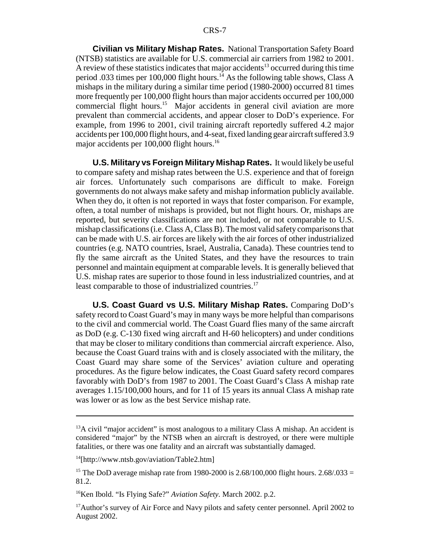**Civilian vs Military Mishap Rates.** National Transportation Safety Board (NTSB) statistics are available for U.S. commercial air carriers from 1982 to 2001. A review of these statistics indicates that major accidents<sup>13</sup> occurred during this time period .033 times per 100,000 flight hours.<sup>14</sup> As the following table shows, Class A mishaps in the military during a similar time period (1980-2000) occurred 81 times more frequently per 100,000 flight hours than major accidents occurred per 100,000 commercial flight hours.15 Major accidents in general civil aviation are more prevalent than commercial accidents, and appear closer to DoD's experience. For example, from 1996 to 2001, civil training aircraft reportedly suffered 4.2 major accidents per 100,000 flight hours, and 4-seat, fixed landing gear aircraft suffered 3.9 major accidents per 100,000 flight hours.<sup>16</sup>

**U.S. Military vs Foreign Military Mishap Rates.** It would likely be useful to compare safety and mishap rates between the U.S. experience and that of foreign air forces. Unfortunately such comparisons are difficult to make. Foreign governments do not always make safety and mishap information publicly available. When they do, it often is not reported in ways that foster comparison. For example, often, a total number of mishaps is provided, but not flight hours. Or, mishaps are reported, but severity classifications are not included, or not comparable to U.S. mishap classifications (i.e. Class A, Class B). The most valid safety comparisons that can be made with U.S. air forces are likely with the air forces of other industrialized countries (e.g. NATO countries, Israel, Australia, Canada). These countries tend to fly the same aircraft as the United States, and they have the resources to train personnel and maintain equipment at comparable levels. It is generally believed that U.S. mishap rates are superior to those found in less industrialized countries, and at least comparable to those of industrialized countries.<sup>17</sup>

**U.S. Coast Guard vs U.S. Military Mishap Rates.** Comparing DoD's safety record to Coast Guard's may in many ways be more helpful than comparisons to the civil and commercial world. The Coast Guard flies many of the same aircraft as DoD (e.g. C-130 fixed wing aircraft and H-60 helicopters) and under conditions that may be closer to military conditions than commercial aircraft experience. Also, because the Coast Guard trains with and is closely associated with the military, the Coast Guard may share some of the Services' aviation culture and operating procedures. As the figure below indicates, the Coast Guard safety record compares favorably with DoD's from 1987 to 2001. The Coast Guard's Class A mishap rate averages 1.15/100,000 hours, and for 11 of 15 years its annual Class A mishap rate was lower or as low as the best Service mishap rate.

 $13A$  civil "major accident" is most analogous to a military Class A mishap. An accident is considered "major" by the NTSB when an aircraft is destroyed, or there were multiple fatalities, or there was one fatality and an aircraft was substantially damaged.

<sup>14[</sup>http://www.ntsb.gov/aviation/Table2.htm]

<sup>&</sup>lt;sup>15</sup> The DoD average mishap rate from 1980-2000 is 2.68/100,000 flight hours. 2.68/033 = 81.2.

<sup>16</sup>Ken Ibold. "Is Flying Safe?" *Aviation Safety.* March 2002. p.2.

<sup>&</sup>lt;sup>17</sup>Author's survey of Air Force and Navy pilots and safety center personnel. April 2002 to August 2002.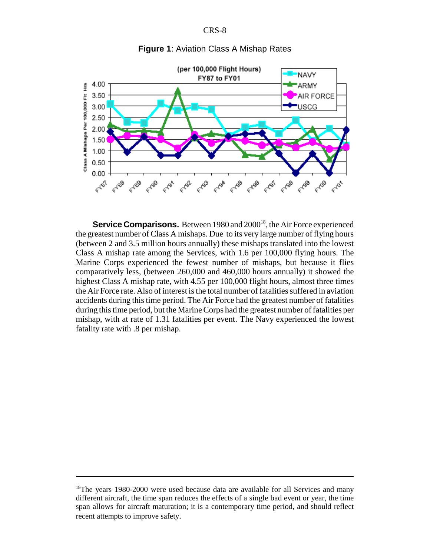CRS-8



#### **Figure 1**: Aviation Class A Mishap Rates

**Service Comparisons.** Between 1980 and 2000<sup>18</sup>, the Air Force experienced the greatest number of Class A mishaps. Due to its very large number of flying hours (between 2 and 3.5 million hours annually) these mishaps translated into the lowest Class A mishap rate among the Services, with 1.6 per 100,000 flying hours. The Marine Corps experienced the fewest number of mishaps, but because it flies comparatively less, (between 260,000 and 460,000 hours annually) it showed the highest Class A mishap rate, with 4.55 per 100,000 flight hours, almost three times the Air Force rate. Also of interest is the total number of fatalities suffered in aviation accidents during this time period. The Air Force had the greatest number of fatalities during this time period, but the Marine Corps had the greatest number of fatalities per mishap, with at rate of 1.31 fatalities per event. The Navy experienced the lowest fatality rate with .8 per mishap.

<sup>&</sup>lt;sup>18</sup>The years 1980-2000 were used because data are available for all Services and many different aircraft, the time span reduces the effects of a single bad event or year, the time span allows for aircraft maturation; it is a contemporary time period, and should reflect recent attempts to improve safety.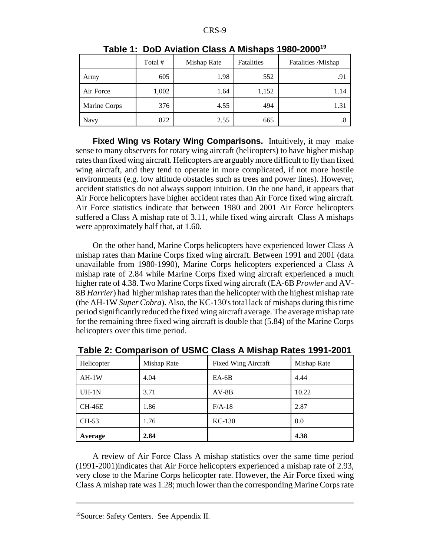|              | Total # | Mishap Rate | Fatalities | Fatalities /Mishap |
|--------------|---------|-------------|------------|--------------------|
| Army         | 605     | 1.98        | 552        | .91                |
| Air Force    | 1,002   | 1.64        | 1,152      | 1.14               |
| Marine Corps | 376     | 4.55        | 494        | 1.31               |
| Navy         | 822     | 2.55        | 665        | ٠ð                 |

**Table 1: DoD Aviation Class A Mishaps 1980-200019**

**Fixed Wing vs Rotary Wing Comparisons.** Intuitively, it may make sense to many observers for rotary wing aircraft (helicopters) to have higher mishap rates than fixed wing aircraft. Helicopters are arguably more difficult to fly than fixed wing aircraft, and they tend to operate in more complicated, if not more hostile environments (e.g. low altitude obstacles such as trees and power lines). However, accident statistics do not always support intuition. On the one hand, it appears that Air Force helicopters have higher accident rates than Air Force fixed wing aircraft. Air Force statistics indicate that between 1980 and 2001 Air Force helicopters suffered a Class A mishap rate of 3.11, while fixed wing aircraft Class A mishaps were approximately half that, at 1.60.

On the other hand, Marine Corps helicopters have experienced lower Class A mishap rates than Marine Corps fixed wing aircraft. Between 1991 and 2001 (data unavailable from 1980-1990), Marine Corps helicopters experienced a Class A mishap rate of 2.84 while Marine Corps fixed wing aircraft experienced a much higher rate of 4.38. Two Marine Corps fixed wing aircraft (EA-6B *Prowler* and AV-8B *Harrier*) had higher mishap rates than the helicopter with the highest mishap rate (the AH-1W *Super Cobra*). Also, the KC-130's total lack of mishaps during this time period significantly reduced the fixed wing aircraft average. The average mishap rate for the remaining three fixed wing aircraft is double that (5.84) of the Marine Corps helicopters over this time period.

| Helicopter | Mishap Rate | <b>Fixed Wing Aircraft</b> | Mishap Rate |
|------------|-------------|----------------------------|-------------|
| $AH-1W$    | 4.04        | $EA-6B$                    | 4.44        |
| $UH-1N$    | 3.71        | $AV-8B$                    | 10.22       |
| $CH-46E$   | 1.86        | $F/A-18$                   | 2.87        |
| CH-53      | 1.76        | $KC-130$                   | 0.0         |
| Average    | 2.84        |                            | 4.38        |

**Table 2: Comparison of USMC Class A Mishap Rates 1991-2001**

A review of Air Force Class A mishap statistics over the same time period (1991-2001)indicates that Air Force helicopters experienced a mishap rate of 2.93, very close to the Marine Corps helicopter rate. However, the Air Force fixed wing Class A mishap rate was 1.28; much lower than the corresponding Marine Corps rate

<sup>19</sup>Source: Safety Centers. See Appendix II.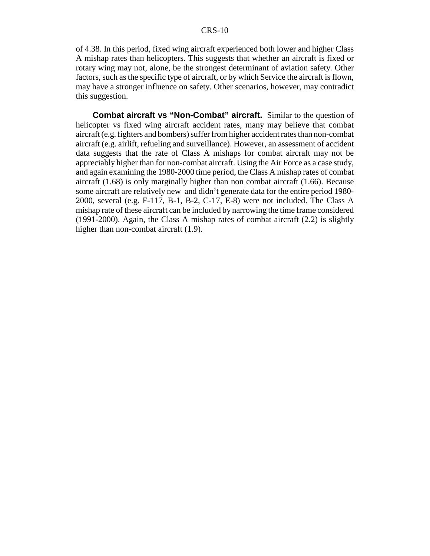of 4.38. In this period, fixed wing aircraft experienced both lower and higher Class A mishap rates than helicopters. This suggests that whether an aircraft is fixed or rotary wing may not, alone, be the strongest determinant of aviation safety. Other factors, such as the specific type of aircraft, or by which Service the aircraft is flown, may have a stronger influence on safety. Other scenarios, however, may contradict this suggestion.

**Combat aircraft vs "Non-Combat" aircraft.** Similar to the question of helicopter vs fixed wing aircraft accident rates, many may believe that combat aircraft (e.g. fighters and bombers) suffer from higher accident rates than non-combat aircraft (e.g. airlift, refueling and surveillance). However, an assessment of accident data suggests that the rate of Class A mishaps for combat aircraft may not be appreciably higher than for non-combat aircraft. Using the Air Force as a case study, and again examining the 1980-2000 time period, the Class A mishap rates of combat aircraft (1.68) is only marginally higher than non combat aircraft (1.66). Because some aircraft are relatively new and didn't generate data for the entire period 1980- 2000, several (e.g. F-117, B-1, B-2, C-17, E-8) were not included. The Class A mishap rate of these aircraft can be included by narrowing the time frame considered (1991-2000). Again, the Class A mishap rates of combat aircraft (2.2) is slightly higher than non-combat aircraft (1.9).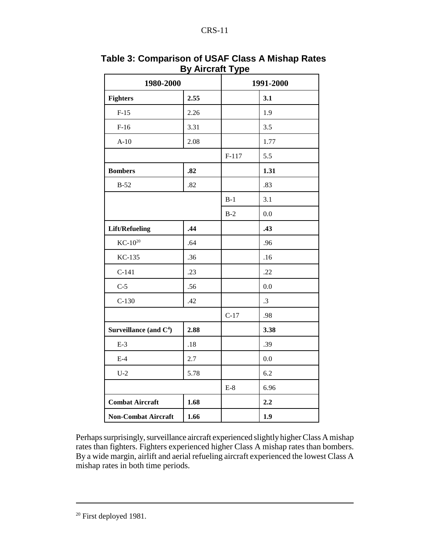| 1980-2000                  |       | 1991-2000 |         |
|----------------------------|-------|-----------|---------|
| <b>Fighters</b>            | 2.55  |           | 3.1     |
| $F-15$                     | 2.26  |           | 1.9     |
| $F-16$                     | 3.31  |           | 3.5     |
| $A-10$                     | 2.08  |           | 1.77    |
|                            |       | $F-117$   | 5.5     |
| <b>Bombers</b>             | .82   |           | 1.31    |
| $B-52$                     | .82   |           | .83     |
|                            |       | $B-1$     | 3.1     |
|                            |       | $B-2$     | 0.0     |
| <b>Lift/Refueling</b>      | .44   |           | .43     |
| $KC-10^{20}$               | .64   |           | .96     |
| KC-135                     | .36   |           | .16     |
| $C-141$                    | .23   |           | .22     |
| $C-5$                      | .56   |           | 0.0     |
| $C-130$                    | .42   |           | .3      |
|                            |       | $C-17$    | .98     |
| Surveillance (and $C^4$ )  | 2.88  |           | 3.38    |
| $E-3$                      | $.18$ |           | .39     |
| $E-4$                      | 2.7   |           | $0.0\,$ |
| $U-2$                      | 5.78  |           | 6.2     |
|                            |       | $E-8$     | 6.96    |
| <b>Combat Aircraft</b>     | 1.68  |           | 2.2     |
| <b>Non-Combat Aircraft</b> | 1.66  |           | 1.9     |

**Table 3: Comparison of USAF Class A Mishap Rates By Aircraft Type**

Perhaps surprisingly, surveillance aircraft experienced slightly higher Class A mishap rates than fighters. Fighters experienced higher Class A mishap rates than bombers. By a wide margin, airlift and aerial refueling aircraft experienced the lowest Class A mishap rates in both time periods.

<sup>&</sup>lt;sup>20</sup> First deployed 1981.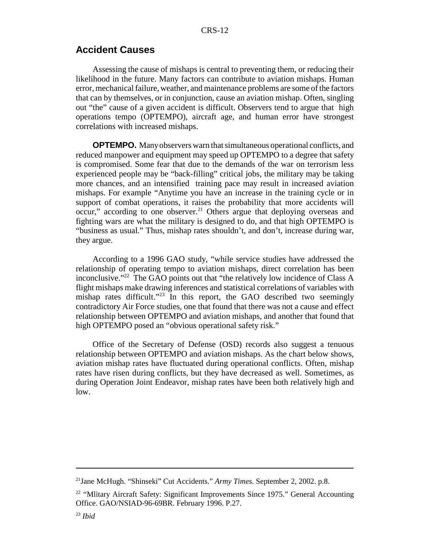### **Accident Causes**

Assessing the cause of mishaps is central to preventing them, or reducing their likelihood in the future. Many factors can contribute to aviation mishaps. Human error, mechanical failure, weather, and maintenance problems are some of the factors that can by themselves, or in conjunction, cause an aviation mishap. Often, singling out "the" cause of a given accident is difficult. Observers tend to argue that high operations tempo (OPTEMPO), aircraft age, and human error have strongest correlations with increased mishaps.

**OPTEMPO.** Many observers warn that simultaneous operational conflicts, and reduced manpower and equipment may speed up OPTEMPO to a degree that safety is compromised. Some fear that due to the demands of the war on terrorism less experienced people may be "back-filling" critical jobs, the military may be taking more chances, and an intensified training pace may result in increased aviation mishaps. For example "Anytime you have an increase in the training cycle or in support of combat operations, it raises the probability that more accidents will occur," according to one observer.<sup>21</sup> Others argue that deploying overseas and fighting wars are what the military is designed to do, and that high OPTEMPO is "business as usual." Thus, mishap rates shouldn't, and don't, increase during war, they argue.

According to a 1996 GAO study, "while service studies have addressed the relationship of operating tempo to aviation mishaps, direct correlation has been inconclusive."22 The GAO points out that "the relatively low incidence of Class A flight mishaps make drawing inferences and statistical correlations of variables with mishap rates difficult."<sup>23</sup> In this report, the GAO described two seemingly contradictory Air Force studies, one that found that there was not a cause and effect relationship between OPTEMPO and aviation mishaps, and another that found that high OPTEMPO posed an "obvious operational safety risk."

Office of the Secretary of Defense (OSD) records also suggest a tenuous relationship between OPTEMPO and aviation mishaps. As the chart below shows, aviation mishap rates have fluctuated during operational conflicts. Often, mishap rates have risen during conflicts, but they have decreased as well. Sometimes, as during Operation Joint Endeavor, mishap rates have been both relatively high and low.

<sup>21</sup>Jane McHugh. "Shinseki" Cut Accidents." *Army Times.* September 2, 2002. p.8.

<sup>&</sup>lt;sup>22</sup> "Mlitary Aircraft Safety: Significant Improvements Since 1975." General Accounting Office. GAO/NSIAD-96-69BR. February 1996. P.27.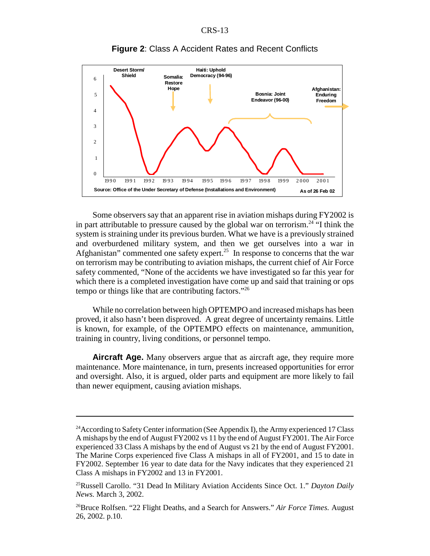

#### **Figure 2**: Class A Accident Rates and Recent Conflicts

Some observers say that an apparent rise in aviation mishaps during FY2002 is in part attributable to pressure caused by the global war on terrorism.<sup>24</sup> "I think the system is straining under its previous burden. What we have is a previously strained and overburdened military system, and then we get ourselves into a war in Afghanistan" commented one safety expert.<sup>25</sup> In response to concerns that the war on terrorism may be contributing to aviation mishaps, the current chief of Air Force safety commented, "None of the accidents we have investigated so far this year for which there is a completed investigation have come up and said that training or ops tempo or things like that are contributing factors."26

While no correlation between high OPTEMPO and increased mishaps has been proved, it also hasn't been disproved. A great degree of uncertainty remains. Little is known, for example, of the OPTEMPO effects on maintenance, ammunition, training in country, living conditions, or personnel tempo.

**Aircraft Age.** Many observers argue that as aircraft age, they require more maintenance. More maintenance, in turn, presents increased opportunities for error and oversight. Also, it is argued, older parts and equipment are more likely to fail than newer equipment, causing aviation mishaps.

<sup>&</sup>lt;sup>24</sup> According to Safety Center information (See Appendix I), the Army experienced 17 Class A mishaps by the end of August FY2002 vs 11 by the end of August FY2001. The Air Force experienced 33 Class A mishaps by the end of August vs 21 by the end of August FY2001. The Marine Corps experienced five Class A mishaps in all of FY2001, and 15 to date in FY2002. September 16 year to date data for the Navy indicates that they experienced 21 Class A mishaps in FY2002 and 13 in FY2001.

<sup>25</sup>Russell Carollo. "31 Dead In Military Aviation Accidents Since Oct. 1." *Dayton Daily News.* March 3, 2002.

<sup>26</sup>Bruce Rolfsen. "22 Flight Deaths, and a Search for Answers." *Air Force Times.* August 26, 2002. p.10.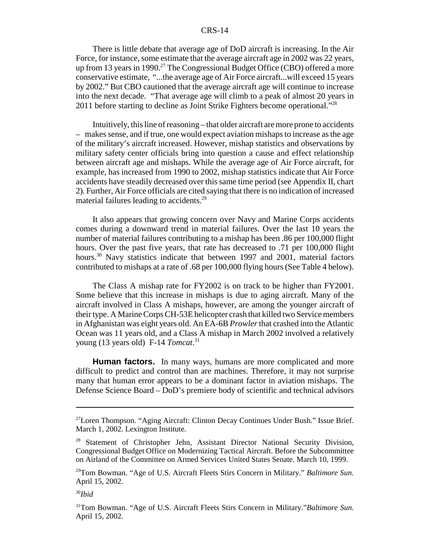There is little debate that average age of DoD aircraft is increasing. In the Air Force, for instance, some estimate that the average aircraft age in 2002 was 22 years, up from 13 years in 1990.<sup>27</sup> The Congressional Budget Office (CBO) offered a more conservative estimate, "...the average age of Air Force aircraft...will exceed 15 years by 2002." But CBO cautioned that the average aircraft age will continue to increase into the next decade. "That average age will climb to a peak of almost 20 years in 2011 before starting to decline as Joint Strike Fighters become operational."<sup>28</sup>

Intuitively, this line of reasoning – that older aircraft are more prone to accidents – makes sense, and if true, one would expect aviation mishaps to increase as the age of the military's aircraft increased. However, mishap statistics and observations by military safety center officials bring into question a cause and effect relationship between aircraft age and mishaps. While the average age of Air Force aircraft, for example, has increased from 1990 to 2002, mishap statistics indicate that Air Force accidents have steadily decreased over this same time period (see Appendix II, chart 2). Further, Air Force officials are cited saying that there is no indication of increased material failures leading to accidents.<sup>29</sup>

It also appears that growing concern over Navy and Marine Corps accidents comes during a downward trend in material failures. Over the last 10 years the number of material failures contributing to a mishap has been .86 per 100,000 flight hours. Over the past five years, that rate has decreased to .71 per 100,000 flight hours.<sup>30</sup> Navy statistics indicate that between 1997 and 2001, material factors contributed to mishaps at a rate of .68 per 100,000 flying hours (See Table 4 below).

The Class A mishap rate for FY2002 is on track to be higher than FY2001. Some believe that this increase in mishaps is due to aging aircraft. Many of the aircraft involved in Class A mishaps, however, are among the younger aircraft of their type. A Marine Corps CH-53E helicopter crash that killed two Service members in Afghanistan was eight years old. An EA-6B *Prowler* that crashed into the Atlantic Ocean was 11 years old, and a Class A mishap in March 2002 involved a relatively young (13 years old) F-14 *Tomcat*. 31

**Human factors.** In many ways, humans are more complicated and more difficult to predict and control than are machines. Therefore, it may not surprise many that human error appears to be a dominant factor in aviation mishaps. The Defense Science Board – DoD's premiere body of scientific and technical advisors

<sup>30</sup>*Ibid*

<sup>27</sup>Loren Thompson. "Aging Aircraft: Clinton Decay Continues Under Bush." Issue Brief. March 1, 2002. Lexington Institute.

<sup>&</sup>lt;sup>28</sup> Statement of Christopher Jehn, Assistant Director National Security Division, Congressional Budget Office on Modernizing Tactical Aircraft. Before the Subcommittee on Airland of the Committee on Armed Services United States Senate. March 10, 1999.

<sup>29</sup>Tom Bowman. "Age of U.S. Aircraft Fleets Stirs Concern in Military." *Baltimore Sun.* April 15, 2002.

<sup>31</sup>Tom Bowman. "Age of U.S. Aircraft Fleets Stirs Concern in Military."*Baltimore Sun.* April 15, 2002.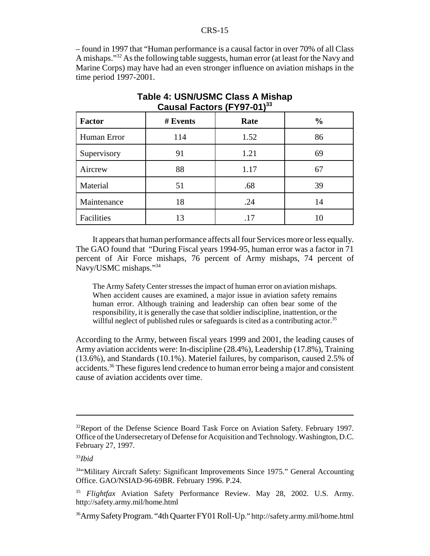– found in 1997 that "Human performance is a causal factor in over 70% of all Class A mishaps."32 As the following table suggests, human error (at least for the Navy and Marine Corps) may have had an even stronger influence on aviation mishaps in the time period 1997-2001.

| <b>Factor</b> | # Events | Rate | $\frac{0}{0}$ |  |
|---------------|----------|------|---------------|--|
| Human Error   | 114      | 1.52 | 86            |  |
| Supervisory   | 91       | 1.21 | 69            |  |
| Aircrew       | 88       | 1.17 | 67            |  |
| Material      | 51       | .68  | 39            |  |
| Maintenance   | 18       | .24  | 14            |  |
| Facilities    | 13       | .17  |               |  |

### **Table 4: USN/USMC Class A Mishap Causal Factors (FY97-01)33**

It appears that human performance affects all four Services more or less equally. The GAO found that "During Fiscal years 1994-95, human error was a factor in 71 percent of Air Force mishaps, 76 percent of Army mishaps, 74 percent of Navy/USMC mishaps."34

The Army Safety Center stresses the impact of human error on aviation mishaps. When accident causes are examined, a major issue in aviation safety remains human error. Although training and leadership can often bear some of the responsibility, it is generally the case that soldier indiscipline, inattention, or the willful neglect of published rules or safeguards is cited as a contributing actor.<sup>35</sup>

According to the Army, between fiscal years 1999 and 2001, the leading causes of Army aviation accidents were: In-discipline (28.4%), Leadership (17.8%), Training (13.6%), and Standards (10.1%). Materiel failures, by comparison, caused 2.5% of accidents.36 These figures lend credence to human error being a major and consistent cause of aviation accidents over time.

<sup>&</sup>lt;sup>32</sup>Report of the Defense Science Board Task Force on Aviation Safety. February 1997. Office of the Undersecretary of Defense for Acquisition and Technology. Washington, D.C. February 27, 1997.

<sup>33</sup>*Ibid*

<sup>34&</sup>quot;Military Aircraft Safety: Significant Improvements Since 1975." General Accounting Office. GAO/NSIAD-96-69BR. February 1996. P.24.

<sup>35</sup> *Flightfax* Aviation Safety Performance Review. May 28, 2002. U.S. Army. http://safety.army.mil/home.html

<sup>36</sup>Army Safety Program. "4th Quarter FY01 Roll-Up." http://safety.army.mil/home.html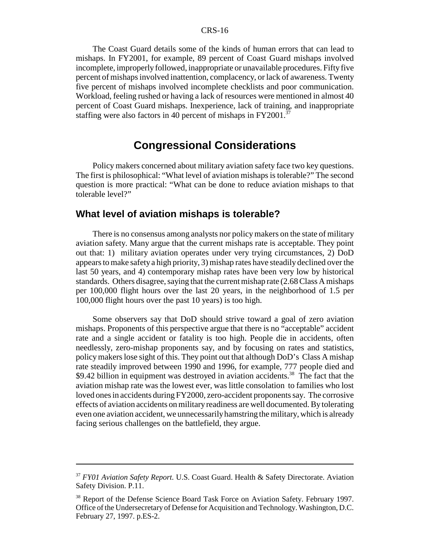The Coast Guard details some of the kinds of human errors that can lead to mishaps. In FY2001, for example, 89 percent of Coast Guard mishaps involved incomplete, improperly followed, inappropriate or unavailable procedures. Fifty five percent of mishaps involved inattention, complacency, or lack of awareness. Twenty five percent of mishaps involved incomplete checklists and poor communication. Workload, feeling rushed or having a lack of resources were mentioned in almost 40 percent of Coast Guard mishaps. Inexperience, lack of training, and inappropriate staffing were also factors in 40 percent of mishaps in FY2001.<sup>37</sup>

### **Congressional Considerations**

Policy makers concerned about military aviation safety face two key questions. The first is philosophical: "What level of aviation mishaps is tolerable?" The second question is more practical: "What can be done to reduce aviation mishaps to that tolerable level?"

### **What level of aviation mishaps is tolerable?**

There is no consensus among analysts nor policy makers on the state of military aviation safety. Many argue that the current mishaps rate is acceptable. They point out that: 1) military aviation operates under very trying circumstances, 2) DoD appears to make safety a high priority, 3) mishap rates have steadily declined over the last 50 years, and 4) contemporary mishap rates have been very low by historical standards. Others disagree, saying that the current mishap rate (2.68 Class A mishaps per 100,000 flight hours over the last 20 years, in the neighborhood of 1.5 per 100,000 flight hours over the past 10 years) is too high.

Some observers say that DoD should strive toward a goal of zero aviation mishaps. Proponents of this perspective argue that there is no "acceptable" accident rate and a single accident or fatality is too high. People die in accidents, often needlessly, zero-mishap proponents say, and by focusing on rates and statistics, policy makers lose sight of this. They point out that although DoD's Class A mishap rate steadily improved between 1990 and 1996, for example, 777 people died and \$9.42 billion in equipment was destroyed in aviation accidents.<sup>38</sup> The fact that the aviation mishap rate was the lowest ever, was little consolation to families who lost loved ones in accidents during FY2000, zero-accident proponents say. The corrosive effects of aviation accidents on military readiness are well documented. By tolerating even one aviation accident, we unnecessarily hamstring the military, which is already facing serious challenges on the battlefield, they argue.

<sup>37</sup> *FY01 Aviation Safety Report.* U.S. Coast Guard. Health & Safety Directorate. Aviation Safety Division. P.11.

<sup>38</sup> Report of the Defense Science Board Task Force on Aviation Safety. February 1997. Office of the Undersecretary of Defense for Acquisition and Technology. Washington, D.C. February 27, 1997. p.ES-2.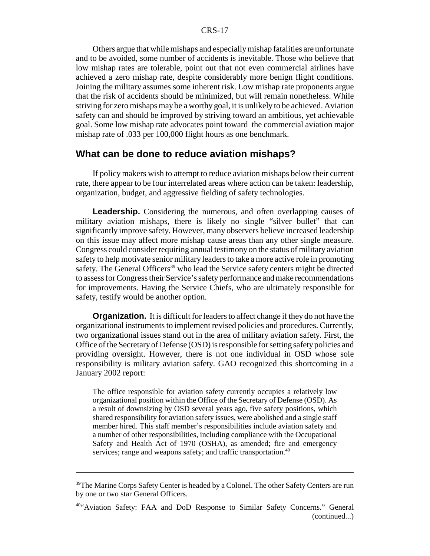Others argue that while mishaps and especially mishap fatalities are unfortunate and to be avoided, some number of accidents is inevitable. Those who believe that low mishap rates are tolerable, point out that not even commercial airlines have achieved a zero mishap rate, despite considerably more benign flight conditions. Joining the military assumes some inherent risk. Low mishap rate proponents argue that the risk of accidents should be minimized, but will remain nonetheless. While striving for zero mishaps may be a worthy goal, it is unlikely to be achieved. Aviation safety can and should be improved by striving toward an ambitious, yet achievable goal. Some low mishap rate advocates point toward the commercial aviation major mishap rate of .033 per 100,000 flight hours as one benchmark.

### **What can be done to reduce aviation mishaps?**

If policy makers wish to attempt to reduce aviation mishaps below their current rate, there appear to be four interrelated areas where action can be taken: leadership, organization, budget, and aggressive fielding of safety technologies.

Leadership. Considering the numerous, and often overlapping causes of military aviation mishaps, there is likely no single "silver bullet" that can significantly improve safety. However, many observers believe increased leadership on this issue may affect more mishap cause areas than any other single measure. Congress could consider requiring annual testimony on the status of military aviation safety to help motivate senior military leaders to take a more active role in promoting safety. The General Officers<sup>39</sup> who lead the Service safety centers might be directed to assess for Congress their Service's safety performance and make recommendations for improvements. Having the Service Chiefs, who are ultimately responsible for safety, testify would be another option.

**Organization.** It is difficult for leaders to affect change if they do not have the organizational instruments to implement revised policies and procedures. Currently, two organizational issues stand out in the area of military aviation safety. First, the Office of the Secretary of Defense (OSD) is responsible for setting safety policies and providing oversight. However, there is not one individual in OSD whose sole responsibility is military aviation safety. GAO recognized this shortcoming in a January 2002 report:

The office responsible for aviation safety currently occupies a relatively low organizational position within the Office of the Secretary of Defense (OSD). As a result of downsizing by OSD several years ago, five safety positions, which shared responsibility for aviation safety issues, were abolished and a single staff member hired. This staff member's responsibilities include aviation safety and a number of other responsibilities, including compliance with the Occupational Safety and Health Act of 1970 (OSHA), as amended; fire and emergency services; range and weapons safety; and traffic transportation.<sup>40</sup>

<sup>&</sup>lt;sup>39</sup>The Marine Corps Safety Center is headed by a Colonel. The other Safety Centers are run by one or two star General Officers.

<sup>40&</sup>quot;Aviation Safety: FAA and DoD Response to Similar Safety Concerns." General (continued...)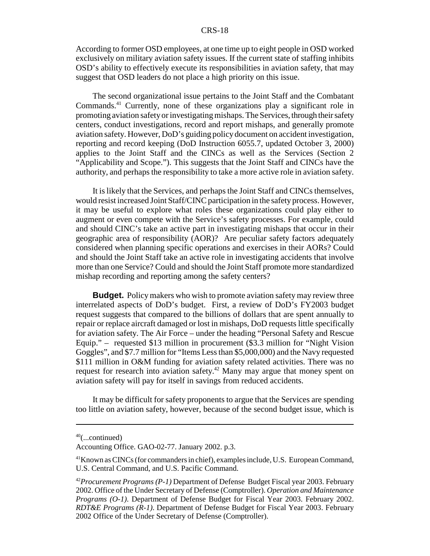According to former OSD employees, at one time up to eight people in OSD worked exclusively on military aviation safety issues. If the current state of staffing inhibits OSD's ability to effectively execute its responsibilities in aviation safety, that may suggest that OSD leaders do not place a high priority on this issue.

The second organizational issue pertains to the Joint Staff and the Combatant Commands.41 Currently, none of these organizations play a significant role in promoting aviation safety or investigating mishaps. The Services, through their safety centers, conduct investigations, record and report mishaps, and generally promote aviation safety. However, DoD's guiding policy document on accident investigation, reporting and record keeping (DoD Instruction 6055.7, updated October 3, 2000) applies to the Joint Staff and the CINCs as well as the Services (Section 2 "Applicability and Scope."). This suggests that the Joint Staff and CINCs have the authority, and perhaps the responsibility to take a more active role in aviation safety.

It is likely that the Services, and perhaps the Joint Staff and CINCs themselves, would resist increased Joint Staff/CINC participation in the safety process. However, it may be useful to explore what roles these organizations could play either to augment or even compete with the Service's safety processes. For example, could and should CINC's take an active part in investigating mishaps that occur in their geographic area of responsibility (AOR)? Are peculiar safety factors adequately considered when planning specific operations and exercises in their AORs? Could and should the Joint Staff take an active role in investigating accidents that involve more than one Service? Could and should the Joint Staff promote more standardized mishap recording and reporting among the safety centers?

**Budget.** Policy makers who wish to promote aviation safety may review three interrelated aspects of DoD's budget. First, a review of DoD's FY2003 budget request suggests that compared to the billions of dollars that are spent annually to repair or replace aircraft damaged or lost in mishaps, DoD requests little specifically for aviation safety. The Air Force – under the heading "Personal Safety and Rescue Equip." – requested \$13 million in procurement (\$3.3 million for "Night Vision Goggles", and \$7.7 million for "Items Less than \$5,000,000) and the Navy requested \$111 million in O&M funding for aviation safety related activities. There was no request for research into aviation safety.42 Many may argue that money spent on aviation safety will pay for itself in savings from reduced accidents.

It may be difficult for safety proponents to argue that the Services are spending too little on aviation safety, however, because of the second budget issue, which is

 $40$ (...continued)

Accounting Office. GAO-02-77. January 2002. p.3.

<sup>41</sup>Known as CINCs (for commanders in chief), examples include, U.S. European Command, U.S. Central Command, and U.S. Pacific Command.

<sup>42</sup>*Procurement Programs (P-1)* Department of Defense Budget Fiscal year 2003. February 2002. Office of the Under Secretary of Defense (Comptroller). *Operation and Maintenance Programs (O-1)*. Department of Defense Budget for Fiscal Year 2003. February 2002. *RDT&E Programs (R-1)*. Department of Defense Budget for Fiscal Year 2003. February 2002 Office of the Under Secretary of Defense (Comptroller).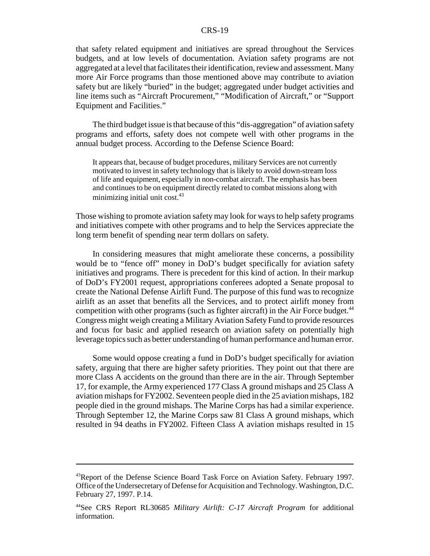that safety related equipment and initiatives are spread throughout the Services budgets, and at low levels of documentation. Aviation safety programs are not aggregated at a level that facilitates their identification, review and assessment. Many more Air Force programs than those mentioned above may contribute to aviation safety but are likely "buried" in the budget; aggregated under budget activities and line items such as "Aircraft Procurement," "Modification of Aircraft," or "Support Equipment and Facilities."

The third budget issue is that because of this "dis-aggregation" of aviation safety programs and efforts, safety does not compete well with other programs in the annual budget process. According to the Defense Science Board:

It appears that, because of budget procedures, military Services are not currently motivated to invest in safety technology that is likely to avoid down-stream loss of life and equipment, especially in non-combat aircraft. The emphasis has been and continues to be on equipment directly related to combat missions along with minimizing initial unit  $cost^{43}$ .

Those wishing to promote aviation safety may look for ways to help safety programs and initiatives compete with other programs and to help the Services appreciate the long term benefit of spending near term dollars on safety.

In considering measures that might ameliorate these concerns, a possibility would be to "fence off" money in DoD's budget specifically for aviation safety initiatives and programs. There is precedent for this kind of action. In their markup of DoD's FY2001 request, appropriations conferees adopted a Senate proposal to create the National Defense Airlift Fund. The purpose of this fund was to recognize airlift as an asset that benefits all the Services, and to protect airlift money from competition with other programs (such as fighter aircraft) in the Air Force budget.<sup>44</sup> Congress might weigh creating a Military Aviation Safety Fund to provide resources and focus for basic and applied research on aviation safety on potentially high leverage topics such as better understanding of human performance and human error.

Some would oppose creating a fund in DoD's budget specifically for aviation safety, arguing that there are higher safety priorities. They point out that there are more Class A accidents on the ground than there are in the air. Through September 17, for example, the Army experienced 177 Class A ground mishaps and 25 Class A aviation mishaps for FY2002. Seventeen people died in the 25 aviation mishaps, 182 people died in the ground mishaps. The Marine Corps has had a similar experience. Through September 12, the Marine Corps saw 81 Class A ground mishaps, which resulted in 94 deaths in FY2002. Fifteen Class A aviation mishaps resulted in 15

<sup>43</sup>Report of the Defense Science Board Task Force on Aviation Safety. February 1997. Office of the Undersecretary of Defense for Acquisition and Technology. Washington, D.C. February 27, 1997. P.14.

<sup>44</sup>See CRS Report RL30685 *Military Airlift: C-17 Aircraft Program* for additional information.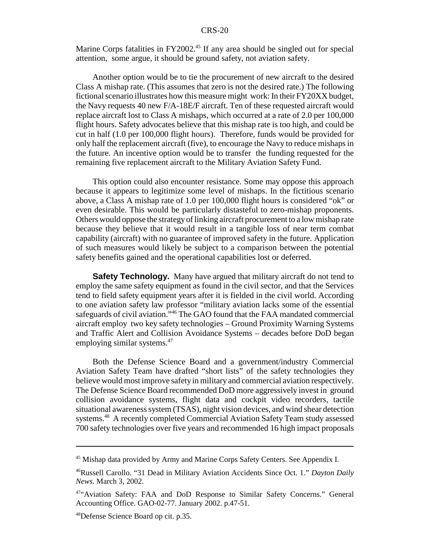Marine Corps fatalities in FY2002.<sup>45</sup> If any area should be singled out for special attention, some argue, it should be ground safety, not aviation safety.

Another option would be to tie the procurement of new aircraft to the desired Class A mishap rate. (This assumes that zero is not the desired rate.) The following fictional scenario illustrates how this measure might work: In their FY20XX budget, the Navy requests 40 new F/A-18E/F aircraft. Ten of these requested aircraft would replace aircraft lost to Class A mishaps, which occurred at a rate of 2.0 per 100,000 flight hours. Safety advocates believe that this mishap rate is too high, and could be cut in half (1.0 per 100,000 flight hours). Therefore, funds would be provided for only half the replacement aircraft (five), to encourage the Navy to reduce mishaps in the future. An incentive option would be to transfer the funding requested for the remaining five replacement aircraft to the Military Aviation Safety Fund.

This option could also encounter resistance. Some may oppose this approach because it appears to legitimize some level of mishaps. In the fictitious scenario above, a Class A mishap rate of 1.0 per 100,000 flight hours is considered "ok" or even desirable. This would be particularly distasteful to zero-mishap proponents. Others would oppose the strategy of linking aircraft procurement to a low mishap rate because they believe that it would result in a tangible loss of near term combat capability (aircraft) with no guarantee of improved safety in the future. Application of such measures would likely be subject to a comparison between the potential safety benefits gained and the operational capabilities lost or deferred.

**Safety Technology.** Many have argued that military aircraft do not tend to employ the same safety equipment as found in the civil sector, and that the Services tend to field safety equipment years after it is fielded in the civil world. According to one aviation safety law professor "military aviation lacks some of the essential safeguards of civil aviation."46 The GAO found that the FAA mandated commercial aircraft employ two key safety technologies – Ground Proximity Warning Systems and Traffic Alert and Collision Avoidance Systems – decades before DoD began employing similar systems.<sup>47</sup>

Both the Defense Science Board and a government/industry Commercial Aviation Safety Team have drafted "short lists" of the safety technologies they believe would most improve safety in military and commercial aviation respectively. The Defense Science Board recommended DoD more aggressively invest in ground collision avoidance systems, flight data and cockpit video recorders, tactile situational awareness system (TSAS), night vision devices, and wind shear detection systems.<sup>48</sup> A recently completed Commercial Aviation Safety Team study assessed 700 safety technologies over five years and recommended 16 high impact proposals

<sup>&</sup>lt;sup>45</sup> Mishap data provided by Army and Marine Corps Safety Centers. See Appendix I.

<sup>46</sup>Russell Carollo. "31 Dead in Military Aviation Accidents Since Oct. 1." *Dayton Daily News.* March 3, 2002.

<sup>47&</sup>quot;Aviation Safety: FAA and DoD Response to Similar Safety Concerns." General Accounting Office. GAO-02-77. January 2002. p.47-51.

<sup>48</sup>Defense Science Board op cit. p.35.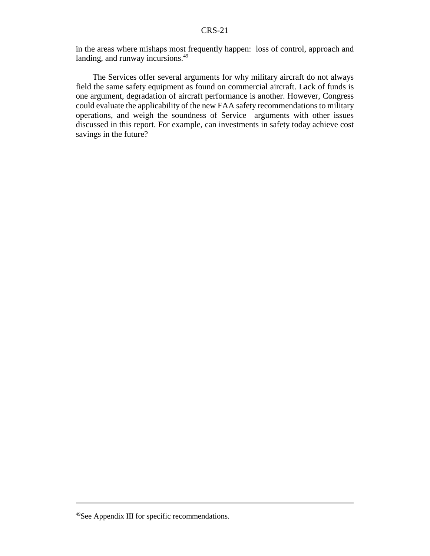in the areas where mishaps most frequently happen: loss of control, approach and landing, and runway incursions.<sup>49</sup>

The Services offer several arguments for why military aircraft do not always field the same safety equipment as found on commercial aircraft. Lack of funds is one argument, degradation of aircraft performance is another. However, Congress could evaluate the applicability of the new FAA safety recommendations to military operations, and weigh the soundness of Service arguments with other issues discussed in this report. For example, can investments in safety today achieve cost savings in the future?

<sup>49</sup>See Appendix III for specific recommendations.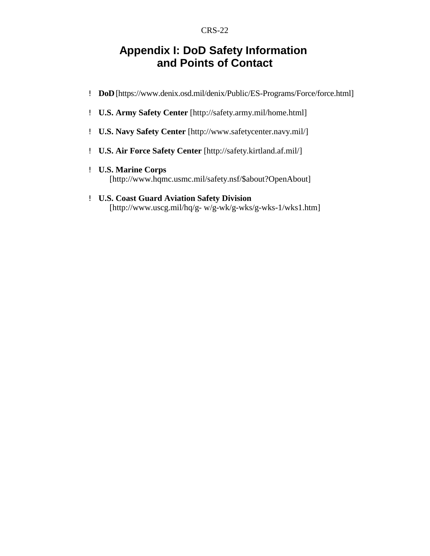### **Appendix I: DoD Safety Information and Points of Contact**

- ! **DoD** [https://www.denix.osd.mil/denix/Public/ES-Programs/Force/force.html]
- ! **U.S. Army Safety Center** [http://safety.army.mil/home.html]
- ! **U.S. Navy Safety Center** [http://www.safetycenter.navy.mil/]
- ! **U.S. Air Force Safety Center** [http://safety.kirtland.af.mil/]
- ! **U.S. Marine Corps** [http://www.hqmc.usmc.mil/safety.nsf/\$about?OpenAbout]
- ! **U.S. Coast Guard Aviation Safety Division** [http://www.uscg.mil/hq/g- w/g-wk/g-wks/g-wks-1/wks1.htm]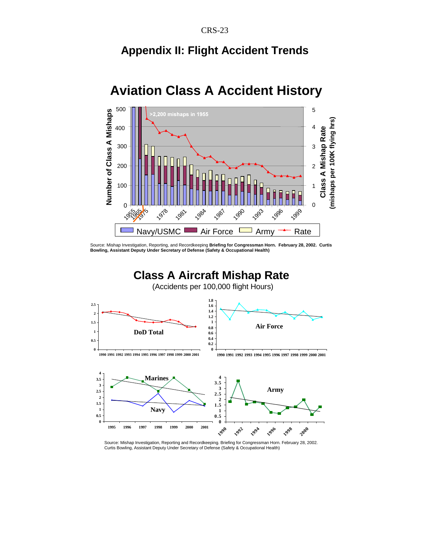## **Appendix II: Flight Accident Trends**



# **Aviation Class A Accident History**

Source: Mishap Investigation, Reporting, and Recordkeeping **Briefing for Congressman Horn. February 28, 2002. Curtis Bowling, Assistant Deputy Under Secretary of Defense (Safety & Occupational Health)**

### **Class A Aircraft Mishap Rate**

(Accidents per 100,000 flight Hours)



Source: Mishap Investigation, Reporting and Recordkeeping. Briefing for Congressman Horn. February 28, 2002. Curtis Bowling, Assistant Deputy Under Secretary of Defense (Safety & Occupational Health)